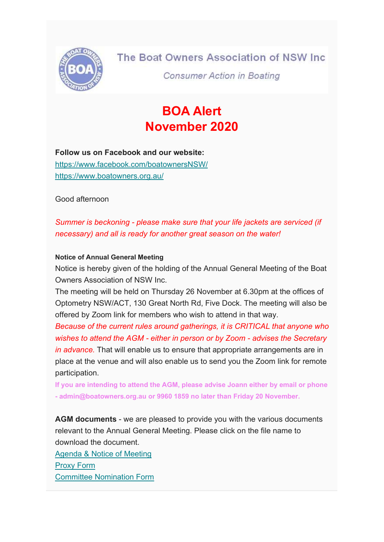

## The Boat Owners Association of NSW Inc.

**Consumer Action in Boating** 

# BOA Alert November 2020

# Follow us on Facebook and our website:

https://www.facebook.com/boatownersNSW/ https://www.boatowners.org.au/

Good afternoon

Summer is beckoning - please make sure that your life jackets are serviced (if necessary) and all is ready for another great season on the water!

#### Notice of Annual General Meeting

Notice is hereby given of the holding of the Annual General Meeting of the Boat Owners Association of NSW Inc.

The meeting will be held on Thursday 26 November at 6.30pm at the offices of Optometry NSW/ACT, 130 Great North Rd, Five Dock. The meeting will also be offered by Zoom link for members who wish to attend in that way.

Because of the current rules around gatherings, it is CRITICAL that anyone who wishes to attend the AGM - either in person or by Zoom - advises the Secretary in advance. That will enable us to ensure that appropriate arrangements are in place at the venue and will also enable us to send you the Zoom link for remote participation.

If you are intending to attend the AGM, please advise Joann either by email or phone - admin@boatowners.org.au or 9960 1859 no later than Friday 20 November.

AGM documents - we are pleased to provide you with the various documents relevant to the Annual General Meeting. Please click on the file name to download the document.

Agenda & Notice of Meeting Proxy Form Committee Nomination Form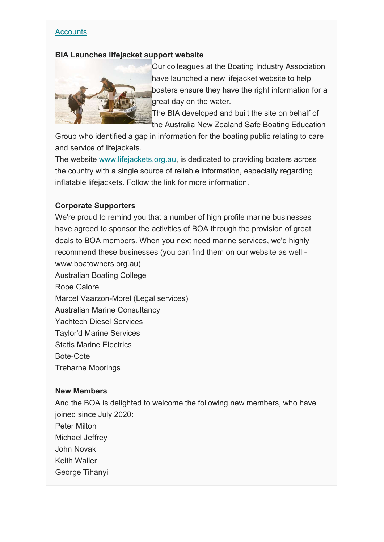#### **Accounts**

#### BIA Launches lifejacket support website



Our colleagues at the Boating Industry Association have launched a new lifejacket website to help boaters ensure they have the right information for a great day on the water.

The BIA developed and built the site on behalf of the Australia New Zealand Safe Boating Education

Group who identified a gap in information for the boating public relating to care and service of lifejackets.

The website www.lifejackets.org.au, is dedicated to providing boaters across the country with a single source of reliable information, especially regarding inflatable lifejackets. Follow the link for more information.

#### Corporate Supporters

We're proud to remind you that a number of high profile marine businesses have agreed to sponsor the activities of BOA through the provision of great deals to BOA members. When you next need marine services, we'd highly recommend these businesses (you can find them on our website as well www.boatowners.org.au)

Australian Boating College Rope Galore Marcel Vaarzon-Morel (Legal services) Australian Marine Consultancy Yachtech Diesel Services Taylor'd Marine Services Statis Marine Electrics Bote-Cote Treharne Moorings

#### New Members

And the BOA is delighted to welcome the following new members, who have joined since July 2020:

Peter Milton Michael Jeffrey John Novak Keith Waller George Tihanyi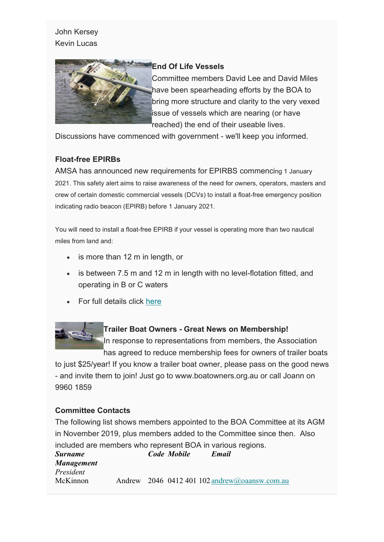## John Kersey Kevin Lucas



#### End Of Life Vessels

Committee members David Lee and David Miles have been spearheading efforts by the BOA to bring more structure and clarity to the very vexed issue of vessels which are nearing (or have reached) the end of their useable lives.

Discussions have commenced with government - we'll keep you informed.

### Float-free EPIRBs

AMSA has announced new requirements for EPIRBS commencing 1 January 2021. This safety alert aims to raise awareness of the need for owners, operators, masters and crew of certain domestic commercial vessels (DCVs) to install a float-free emergency position indicating radio beacon (EPIRB) before 1 January 2021.

You will need to install a float-free EPIRB if your vessel is operating more than two nautical miles from land and:

- is more than 12 m in length, or
- is between 7.5 m and 12 m in length with no level-flotation fitted, and operating in B or C waters
- For full details click here

#### Trailer Boat Owners - Great News on Membership!

In response to representations from members, the Association has agreed to reduce membership fees for owners of trailer boats

to just \$25/year! If you know a trailer boat owner, please pass on the good news - and invite them to join! Just go to www.boatowners.org.au or call Joann on 9960 1859

#### Committee Contacts

The following list shows members appointed to the BOA Committee at its AGM in November 2019, plus members added to the Committee since then. Also included are members who represent BOA in various regions. Surname Code Mobile Email Management President McKinnon Andrew 2046 0412 401 102 andrew@oaansw.com.au